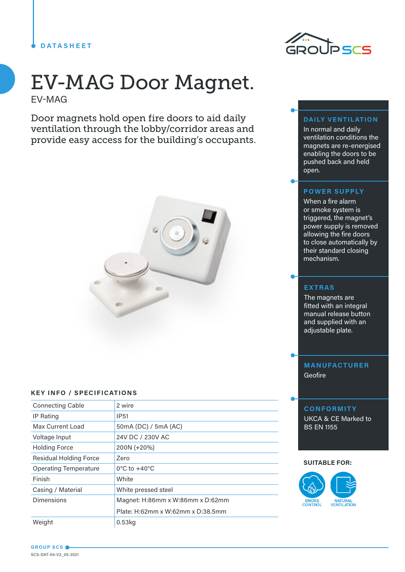## **DATASHEET**

# EV-MAG Door Magnet. EV-MAG

Door magnets hold open fire doors to aid daily ventilation through the lobby/corridor areas and provide easy access for the building's occupants.



#### **KEY INFO / SPECIFICATIONS**

| <b>Connecting Cable</b>       | 2 wire                            |
|-------------------------------|-----------------------------------|
| <b>IP Rating</b>              | IP <sub>51</sub>                  |
| Max Current Load              | 50mA (DC) / 5mA (AC)              |
| Voltage Input                 | 24V DC / 230V AC                  |
| <b>Holding Force</b>          | 200N (+20%)                       |
| <b>Residual Holding Force</b> | Zero                              |
| <b>Operating Temperature</b>  | $0^{\circ}$ C to $+40^{\circ}$ C  |
| Finish                        | White                             |
| Casing / Material             | White pressed steel               |
| <b>Dimensions</b>             | Magnet: H:86mm x W:86mm x D:62mm  |
|                               | Plate: H:62mm x W:62mm x D:38.5mm |
| Weight                        | $0.53$ kg                         |



### **DAILY VENTILATION**

In normal and daily ventilation conditions the magnets are re-energised enabling the doors to be pushed back and held open.

## **POWER SUPPLY**

When a fire alarm or smoke system is triggered, the magnet's power supply is removed allowing the fire doors to close automatically by their standard closing mechanism.

## **EXTRAS**

The magnets are fitted with an integral manual release button and supplied with an adjustable plate.

# **MANUFACTURER** Geofire

### **CONFORMITY**

UKCA & CE Marked to BS EN 1155

#### **SUITABLE FOR:**